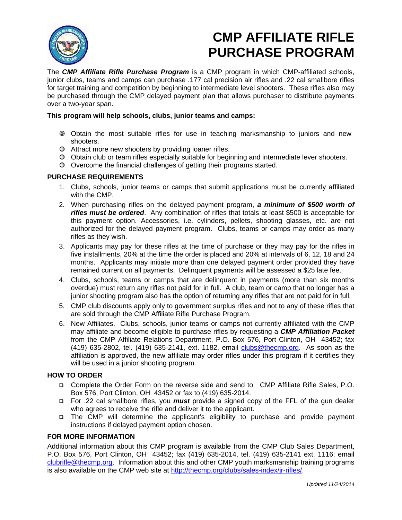

# **CMP AFFILIATE RIFLE PURCHASE PROGRAM**

The *CMP Affiliate Rifle Purchase Program* is a CMP program in which CMP-affiliated schools, junior clubs, teams and camps can purchase .177 cal precision air rifles and .22 cal smallbore rifles for target training and competition by beginning to intermediate level shooters. These rifles also may be purchased through the CMP delayed payment plan that allows purchaser to distribute payments over a two-year span.

## **This program will help schools, clubs, junior teams and camps:**

- Obtain the most suitable rifles for use in teaching marksmanship to juniors and new shooters.
- Attract more new shooters by providing loaner rifles.
- Obtain club or team rifles especially suitable for beginning and intermediate lever shooters.
- Overcome the financial challenges of getting their programs started.

### **PURCHASE REQUIREMENTS**

- 1. Clubs, schools, junior teams or camps that submit applications must be currently affiliated with the CMP.
- 2. When purchasing rifles on the delayed payment program, *a minimum of \$500 worth of rifles must be ordered*. Any combination of rifles that totals at least \$500 is acceptable for this payment option. Accessories, i.e. cylinders, pellets, shooting glasses, etc. are not authorized for the delayed payment program. Clubs, teams or camps may order as many rifles as they wish.
- 3. Applicants may pay for these rifles at the time of purchase or they may pay for the rifles in five installments, 20% at the time the order is placed and 20% at intervals of 6, 12, 18 and 24 months. Applicants may initiate more than one delayed payment order provided they have remained current on all payments. Delinquent payments will be assessed a \$25 late fee.
- 4. Clubs, schools, teams or camps that are delinquent in payments (more than six months overdue) must return any rifles not paid for in full. A club, team or camp that no longer has a junior shooting program also has the option of returning any rifles that are not paid for in full.
- 5. CMP club discounts apply only to government surplus rifles and not to any of these rifles that are sold through the CMP Affiliate Rifle Purchase Program.
- 6. New Affiliates. Clubs, schools, junior teams or camps not currently affiliated with the CMP may affiliate and become eligible to purchase rifles by requesting a *CMP Affiliation Packet* from the CMP Affiliate Relations Department, P.O. Box 576, Port Clinton, OH 43452; fax (419) 635-2802, tel. (419) 635-2141, ext. 1182, email clubs@thecmp.org. As soon as the affiliation is approved, the new affiliate may order rifles under this program if it certifies they will be used in a junior shooting program.

### **HOW TO ORDER**

- Complete the Order Form on the reverse side and send to: CMP Affiliate Rifle Sales, P.O. Box 576, Port Clinton, OH 43452 or fax to (419) 635-2014.
- For .22 cal smallbore rifles, you *must* provide a signed copy of the FFL of the gun dealer who agrees to receive the rifle and deliver it to the applicant.
- The CMP will determine the applicant's eligibility to purchase and provide payment instructions if delayed payment option chosen.

### **FOR MORE INFORMATION**

Additional information about this CMP program is available from the CMP Club Sales Department, P.O. Box 576, Port Clinton, OH 43452; fax (419) 635-2014, tel. (419) 635-2141 ext. 1116; email clubrifle@thecmp.org. Information about this and other CMP youth marksmanship training programs is also available on the CMP web site at http://thecmp.org/clubs/sales-index/jr-rifles/.